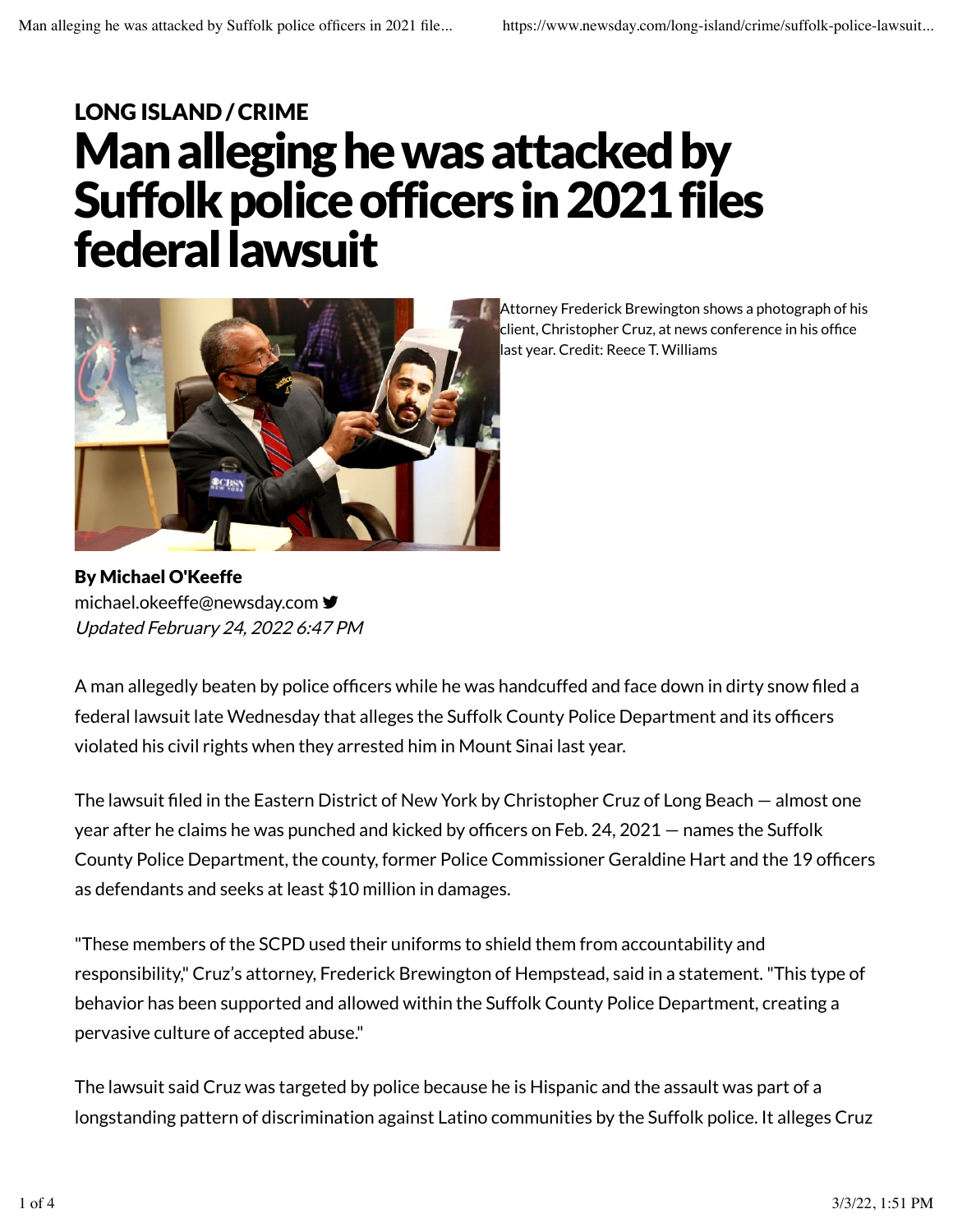## Man alleging he was attacked by Suffolk police officers in 2021 files federal lawsuit LONG ISLAND /CRIME



Attorney Frederick Brewington shows a photograph of his client, Christopher Cruz, at news conference in his office last year. Credit: Reece T. Williams

By Michael O'Keeffe Updated February 24, 2022 6:47 PM michael.okeeffe@newsday.com •

A man allegedly beaten by police officers while he was handcuffed and face down in dirty snow filed a federal lawsuit late Wednesday that alleges the Suffolk County Police Department and its officers violated his civil rights when they arrested him in Mount Sinai last year.

The lawsuit filed in the Eastern District of New York by Christopher Cruz of Long Beach — almost one year after he claims he was punched and kicked by officers on Feb. 24, 2021 — names the Suffolk County Police Department, the county, former Police Commissioner Geraldine Hart and the 19 officers as defendants and seeks at least \$10 million in damages.

"These members of the SCPD used their uniforms to shield them from accountability and responsibility," Cruz's attorney, Frederick Brewington of Hempstead, said in a statement. "This type of behavior has been supported and allowed within the Suffolk County Police Department, creating a pervasive culture of accepted abuse."

The lawsuit said Cruz was targeted by police because he is Hispanic and the assault was part of a longstanding pattern of discrimination against Latino communities by the Suffolk police. It alleges Cruz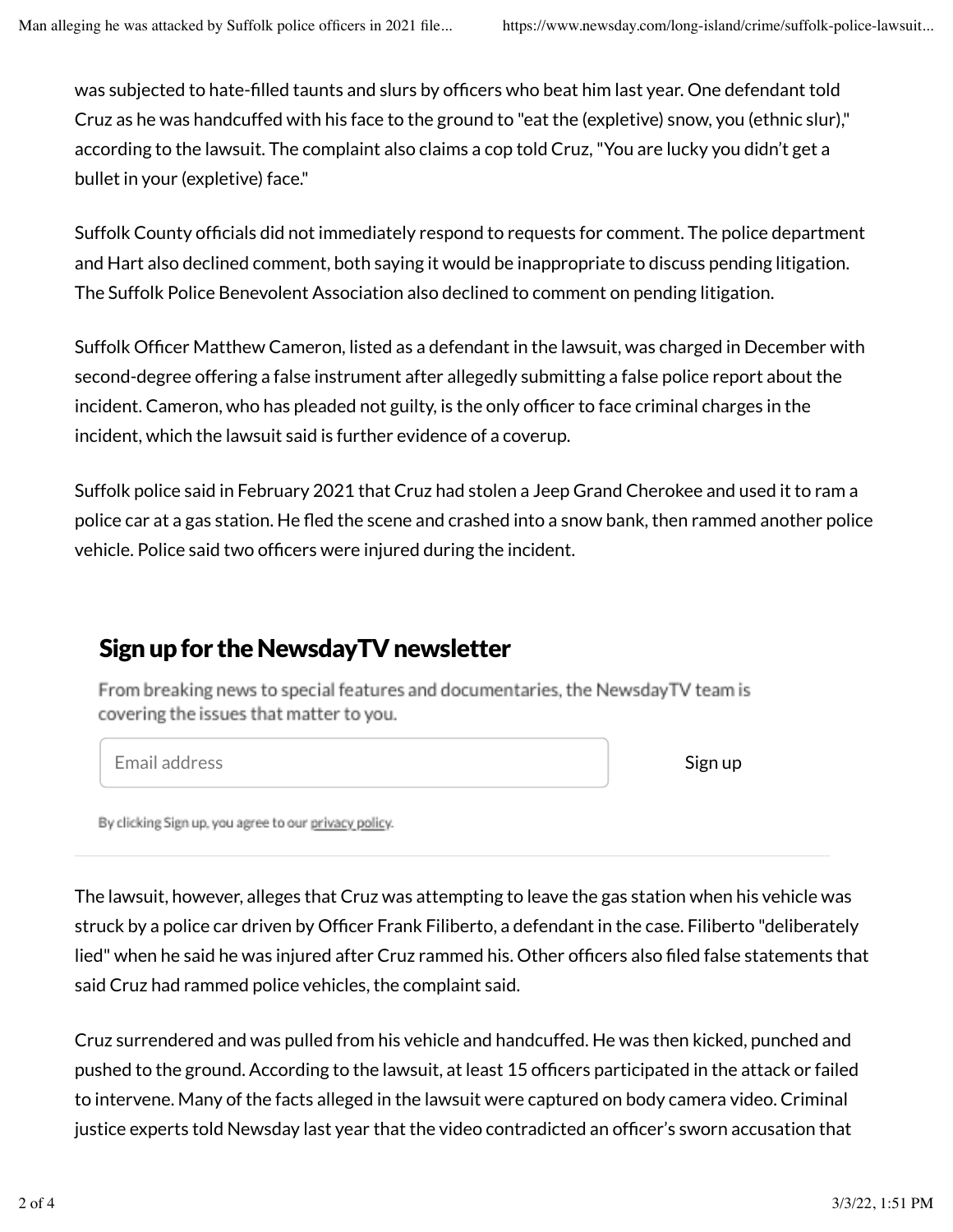was subjected to hate-filled taunts and slurs by officers who beat him last year. One defendant told Cruz as he was handcuffed with his face to the ground to "eat the (expletive) snow, you (ethnic slur)," according to the lawsuit. The complaint also claims a cop told Cruz, "You are lucky you didn't get a bullet in your (expletive) face."

Suffolk County officials did not immediately respond to requests for comment. The police department and Hart also declined comment, both saying it would be inappropriate to discuss pending litigation. The Suffolk Police Benevolent Association also declined to comment on pending litigation.

Suffolk Officer Matthew Cameron, listed as a defendant in the lawsuit, was charged in December with second-degree offering a false instrument after allegedly submitting a false police report about the incident. Cameron, who has pleaded not guilty, is the only officer to face criminal charges in the incident, which the lawsuit said is further evidence of a coverup.

Suffolk police said in February 2021 that Cruz had stolen a Jeep Grand Cherokee and used it to ram a police car at a gas station. He fled the scene and crashed into a snow bank, then rammed another police vehicle. Police said two officers were injured during the incident.

## Sign up for the NewsdayTV newsletter

From breaking news to special features and documentaries, the NewsdayTV team is covering the issues that matter to you.

Email address Sign up

By clicking Sign up, you agree to our privacy policy.

The lawsuit, however, alleges that Cruz was attempting to leave the gas station when his vehicle was struck by a police car driven by Officer Frank Filiberto, a defendant in the case. Filiberto "deliberately lied" when he said he was injured after Cruz rammed his. Other officers also filed false statements that said Cruz had rammed police vehicles, the complaint said.

Cruz surrendered and was pulled from his vehicle and handcuffed. He was then kicked, punched and pushed to the ground. According to the lawsuit, at least 15 officers participated in the attack or failed to intervene. Many of the facts alleged in the lawsuit were captured on body camera video. Criminal justice experts told Newsday last year that the video contradicted an officer's sworn accusation that